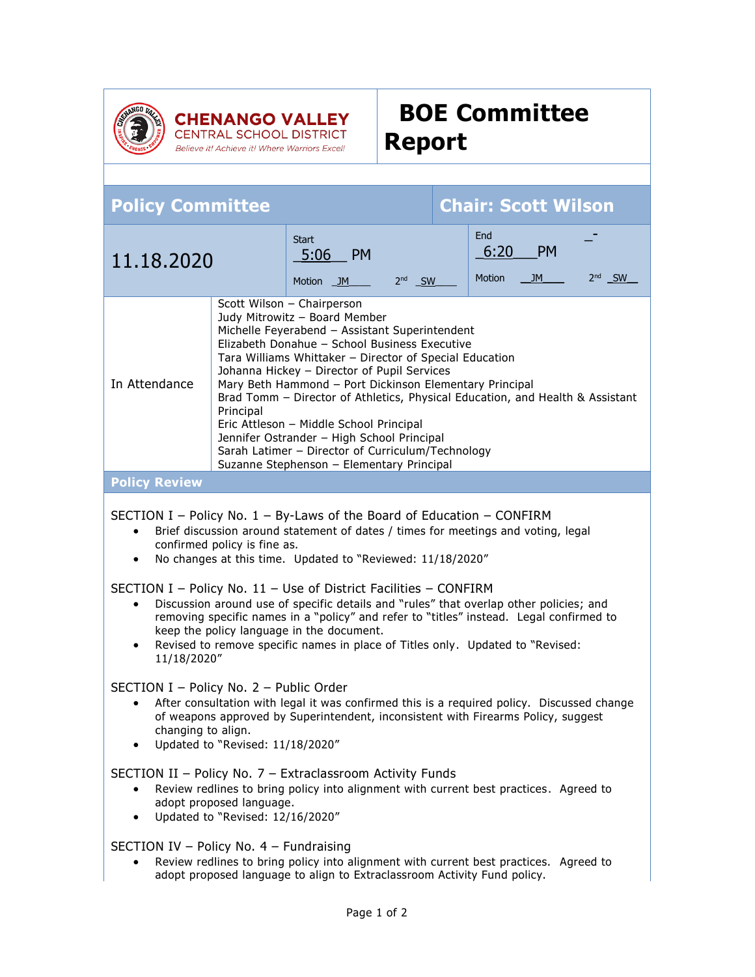

Believe it! Achieve it! Where Warriors Excel!

## **BOE Committee Report**

| <b>Chair: Scott Wilson</b><br><b>Policy Committee</b>                                                                                                                                                                                                                                                                                                                                                                                                                                                                                                                                                                                                                                                                  |  |                                                |          |  |                              |                 |          |
|------------------------------------------------------------------------------------------------------------------------------------------------------------------------------------------------------------------------------------------------------------------------------------------------------------------------------------------------------------------------------------------------------------------------------------------------------------------------------------------------------------------------------------------------------------------------------------------------------------------------------------------------------------------------------------------------------------------------|--|------------------------------------------------|----------|--|------------------------------|-----------------|----------|
| 11.18.2020                                                                                                                                                                                                                                                                                                                                                                                                                                                                                                                                                                                                                                                                                                             |  | <b>Start</b><br><b>PM</b><br>5:06<br>Motion JM | $2nd$ SW |  | End<br>6:20<br><b>Motion</b> | <b>PM</b><br>JM | $2nd$ SW |
| Scott Wilson - Chairperson<br>Judy Mitrowitz - Board Member<br>Michelle Feyerabend - Assistant Superintendent<br>Elizabeth Donahue - School Business Executive<br>Tara Williams Whittaker - Director of Special Education<br>Johanna Hickey - Director of Pupil Services<br>In Attendance<br>Mary Beth Hammond - Port Dickinson Elementary Principal<br>Brad Tomm - Director of Athletics, Physical Education, and Health & Assistant<br>Principal<br>Eric Attleson - Middle School Principal<br>Jennifer Ostrander - High School Principal<br>Sarah Latimer - Director of Curriculum/Technology<br>Suzanne Stephenson - Elementary Principal                                                                          |  |                                                |          |  |                              |                 |          |
| <b>Policy Review</b>                                                                                                                                                                                                                                                                                                                                                                                                                                                                                                                                                                                                                                                                                                   |  |                                                |          |  |                              |                 |          |
| SECTION I – Policy No. $1$ – By-Laws of the Board of Education – CONFIRM<br>Brief discussion around statement of dates / times for meetings and voting, legal<br>$\bullet$<br>confirmed policy is fine as.<br>No changes at this time. Updated to "Reviewed: 11/18/2020"<br>$\bullet$<br>SECTION I - Policy No. 11 - Use of District Facilities - CONFIRM<br>Discussion around use of specific details and "rules" that overlap other policies; and<br>$\bullet$<br>removing specific names in a "policy" and refer to "titles" instead. Legal confirmed to<br>keep the policy language in the document.<br>Revised to remove specific names in place of Titles only. Updated to "Revised:<br>$\bullet$<br>11/18/2020" |  |                                                |          |  |                              |                 |          |
| SECTION I - Policy No. 2 - Public Order<br>After consultation with legal it was confirmed this is a required policy. Discussed change<br>of weapons approved by Superintendent, inconsistent with Firearms Policy, suggest<br>changing to align.<br>Updated to "Revised: 11/18/2020"                                                                                                                                                                                                                                                                                                                                                                                                                                   |  |                                                |          |  |                              |                 |          |
| SECTION II - Policy No. 7 - Extraclassroom Activity Funds<br>Review redlines to bring policy into alignment with current best practices. Agreed to<br>$\bullet$<br>adopt proposed language.<br>Updated to "Revised: 12/16/2020"<br>$\bullet$                                                                                                                                                                                                                                                                                                                                                                                                                                                                           |  |                                                |          |  |                              |                 |          |
| SECTION IV - Policy No. 4 - Fundraising<br>Review redlines to bring policy into alignment with current best practices. Agreed to<br>adopt proposed language to align to Extraclassroom Activity Fund policy.                                                                                                                                                                                                                                                                                                                                                                                                                                                                                                           |  |                                                |          |  |                              |                 |          |